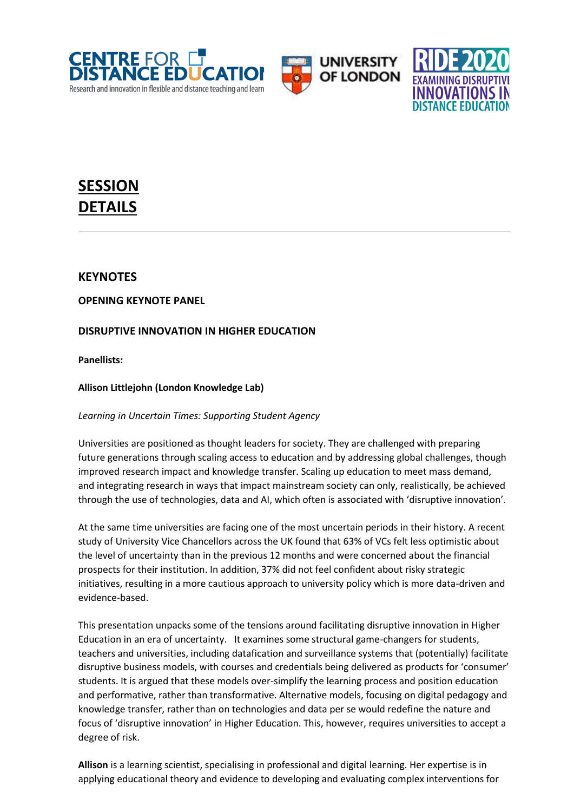





# **SESSION DETAILS**

# **KEYNOTES**

**OPENING KEYNOTE PANEL**

# **DISRUPTIVE INNOVATION IN HIGHER EDUCATION**

**Panellists:**

**Allison Littlejohn (London Knowledge Lab)**

*Learning in Uncertain Times: Supporting Student Agency*

Universities are positioned as thought leaders for society. They are challenged with preparing future generations through scaling access to education and by addressing global challenges, though improved research impact and knowledge transfer. Scaling up education to meet mass demand, and integrating research in ways that impact mainstream society can only, realistically, be achieved through the use of technologies, data and AI, which often is associated with 'disruptive innovation'.

At the same time universities are facing one of the most uncertain periods in their history. A recent study of University Vice Chancellors across the UK found that 63% of VCs felt less optimistic about the level of uncertainty than in the previous 12 months and were concerned about the financial prospects for their institution. In addition, 37% did not feel confident about risky strategic initiatives, resulting in a more cautious approach to university policy which is more data-driven and evidence-based.

This presentation unpacks some of the tensions around facilitating disruptive innovation in Higher Education in an era of uncertainty. It examines some structural game-changers for students, teachers and universities, including datafication and surveillance systems that (potentially) facilitate disruptive business models, with courses and credentials being delivered as products for 'consumer' students. It is argued that these models over-simplify the learning process and position education and performative, rather than transformative. Alternative models, focusing on digital pedagogy and knowledge transfer, rather than on technologies and data per se would redefine the nature and focus of 'disruptive innovation' in Higher Education. This, however, requires universities to accept a degree of risk.

**Allison** is a learning scientist, specialising in professional and digital learning. Her expertise is in applying educational theory and evidence to developing and evaluating complex interventions for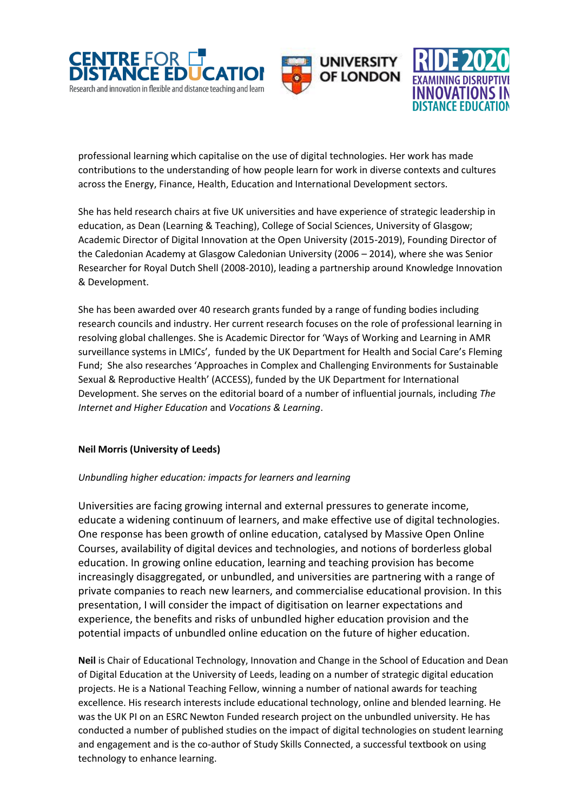





professional learning which capitalise on the use of digital technologies. Her work has made contributions to the understanding of how people learn for work in diverse contexts and cultures across the Energy, Finance, Health, Education and International Development sectors.

She has held research chairs at five UK universities and have experience of strategic leadership in education, as Dean (Learning & Teaching), College of Social Sciences, University of Glasgow; Academic Director of Digital Innovation at the Open University (2015-2019), Founding Director of the Caledonian Academy at Glasgow Caledonian University (2006 – 2014), where she was Senior Researcher for Royal Dutch Shell (2008-2010), leading a partnership around Knowledge Innovation & Development.

She has been awarded over 40 research grants funded by a range of funding bodies including research councils and industry. Her current research focuses on the role of professional learning in resolving global challenges. She is Academic Director for 'Ways of Working and Learning in AMR surveillance systems in LMICs', funded by the UK Department for Health and Social Care's Fleming Fund; She also researches 'Approaches in Complex and Challenging Environments for Sustainable Sexual & Reproductive Health' (ACCESS), funded by the UK Department for International Development. She serves on the editorial board of a number of influential journals, including *The Internet and Higher Education* and *Vocations & Learning*.

# **Neil Morris (University of Leeds)**

# *Unbundling higher education: impacts for learners and learning*

Universities are facing growing internal and external pressures to generate income, educate a widening continuum of learners, and make effective use of digital technologies. One response has been growth of online education, catalysed by Massive Open Online Courses, availability of digital devices and technologies, and notions of borderless global education. In growing online education, learning and teaching provision has become increasingly disaggregated, or unbundled, and universities are partnering with a range of private companies to reach new learners, and commercialise educational provision. In this presentation, I will consider the impact of digitisation on learner expectations and experience, the benefits and risks of unbundled higher education provision and the potential impacts of unbundled online education on the future of higher education.

**Neil** is Chair of Educational Technology, Innovation and Change in the School of Education and Dean of Digital Education at the University of Leeds, leading on a number of strategic digital education projects. He is a National Teaching Fellow, winning a number of national awards for teaching excellence. His research interests include educational technology, online and blended learning. He was the UK PI on an ESRC Newton Funded research project on the unbundled university. He has conducted a number of published studies on the impact of digital technologies on student learning and engagement and is the co-author of Study Skills Connected, a successful textbook on using technology to enhance learning.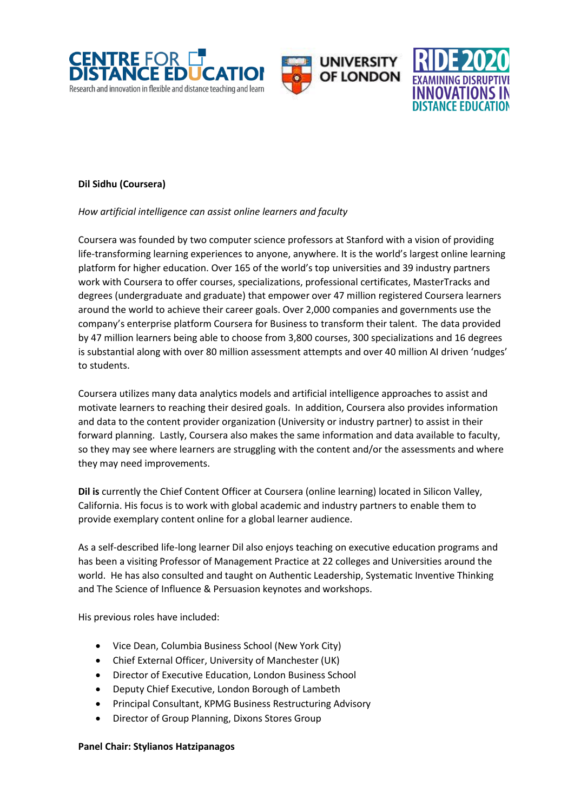





# **Dil Sidhu (Coursera)**

#### *How artificial intelligence can assist online learners and faculty*

Coursera was founded by two computer science professors at Stanford with a vision of providing life-transforming learning experiences to anyone, anywhere. It is the world's largest online learning platform for higher education. Over 165 of the world's top universities and 39 industry partners work with Coursera to offer courses, specializations, professional certificates, MasterTracks and degrees (undergraduate and graduate) that empower over 47 million registered Coursera learners around the world to achieve their career goals. Over 2,000 companies and governments use the company's enterprise platform Coursera for Business to transform their talent. The data provided by 47 million learners being able to choose from 3,800 courses, 300 specializations and 16 degrees is substantial along with over 80 million assessment attempts and over 40 million AI driven 'nudges' to students.

Coursera utilizes many data analytics models and artificial intelligence approaches to assist and motivate learners to reaching their desired goals. In addition, Coursera also provides information and data to the content provider organization (University or industry partner) to assist in their forward planning. Lastly, Coursera also makes the same information and data available to faculty, so they may see where learners are struggling with the content and/or the assessments and where they may need improvements.

**Dil is** currently the Chief Content Officer at Coursera (online learning) located in Silicon Valley, California. His focus is to work with global academic and industry partners to enable them to provide exemplary content online for a global learner audience.

As a self-described life-long learner Dil also enjoys teaching on executive education programs and has been a visiting Professor of Management Practice at 22 colleges and Universities around the world. He has also consulted and taught on Authentic Leadership, Systematic Inventive Thinking and The Science of Influence & Persuasion keynotes and workshops.

His previous roles have included:

- Vice Dean, Columbia Business School (New York City)
- Chief External Officer, University of Manchester (UK)
- Director of Executive Education, London Business School
- Deputy Chief Executive, London Borough of Lambeth
- Principal Consultant, KPMG Business Restructuring Advisory
- Director of Group Planning, Dixons Stores Group

#### **Panel Chair: Stylianos Hatzipanagos**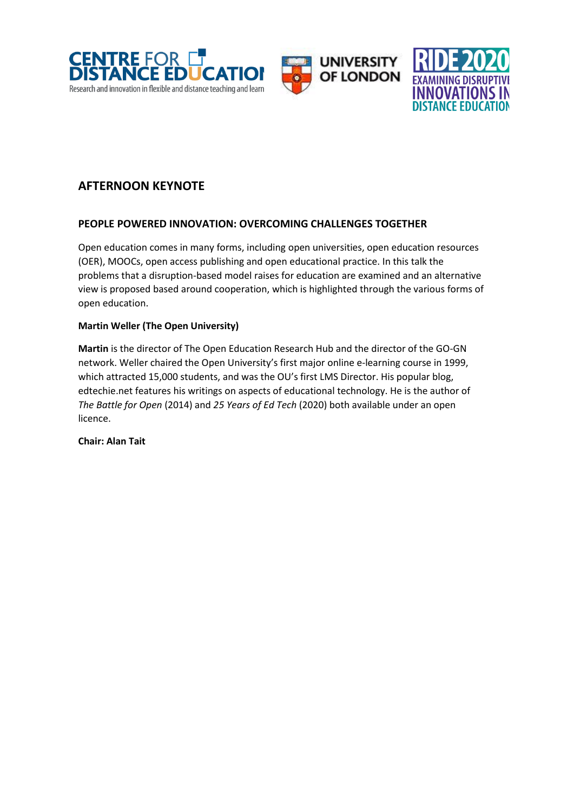





# **AFTERNOON KEYNOTE**

# **PEOPLE POWERED INNOVATION: OVERCOMING CHALLENGES TOGETHER**

Open education comes in many forms, including open universities, open education resources (OER), MOOCs, open access publishing and open educational practice. In this talk the problems that a disruption-based model raises for education are examined and an alternative view is proposed based around cooperation, which is highlighted through the various forms of open education.

# **Martin Weller (The Open University)**

**Martin** is the director of The Open Education Research Hub and the director of the GO-GN network. Weller chaired the Open University's first major online e-learning course in 1999, which attracted 15,000 students, and was the OU's first LMS Director. His popular blog, edtechie.net features his writings on aspects of educational technology. He is the author of *The Battle for Open* (2014) and *25 Years of Ed Tech* (2020) both available under an open licence.

**Chair: Alan Tait**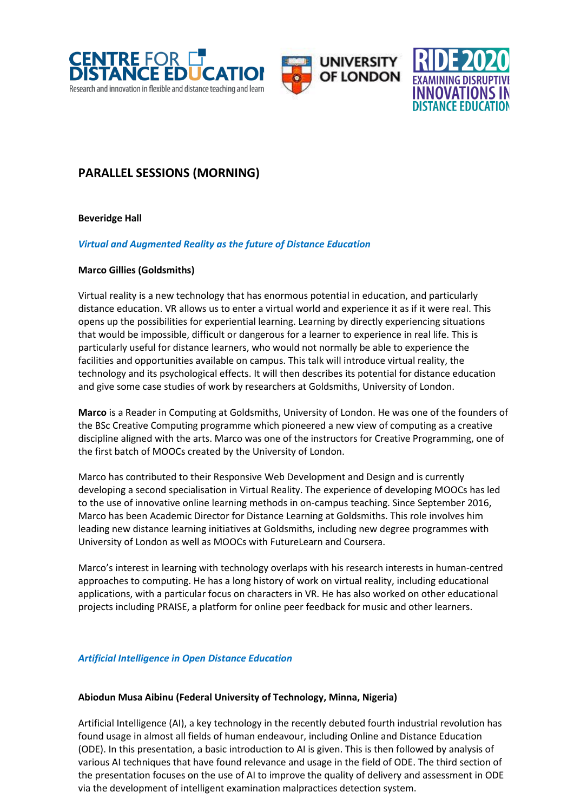





# **PARALLEL SESSIONS (MORNING)**

#### **Beveridge Hall**

# *Virtual and Augmented Reality as the future of Distance Education*

#### **Marco Gillies (Goldsmiths)**

Virtual reality is a new technology that has enormous potential in education, and particularly distance education. VR allows us to enter a virtual world and experience it as if it were real. This opens up the possibilities for experiential learning. Learning by directly experiencing situations that would be impossible, difficult or dangerous for a learner to experience in real life. This is particularly useful for distance learners, who would not normally be able to experience the facilities and opportunities available on campus. This talk will introduce virtual reality, the technology and its psychological effects. It will then describes its potential for distance education and give some case studies of work by researchers at Goldsmiths, University of London.

**Marco** is a Reader in Computing at Goldsmiths, University of London. He was one of the founders of the BSc Creative Computing programme which pioneered a new view of computing as a creative discipline aligned with the arts. Marco was one of the instructors for Creative Programming, one of the first batch of MOOCs created by the University of London.

Marco has contributed to their Responsive Web Development and Design and is currently developing a second specialisation in Virtual Reality. The experience of developing MOOCs has led to the use of innovative online learning methods in on-campus teaching. Since September 2016, Marco has been Academic Director for Distance Learning at Goldsmiths. This role involves him leading new distance learning initiatives at Goldsmiths, including new degree programmes with University of London as well as MOOCs with FutureLearn and Coursera.

Marco's interest in learning with technology overlaps with his research interests in human-centred approaches to computing. He has a long history of work on virtual reality, including educational applications, with a particular focus on characters in VR. He has also worked on other educational projects including PRAISE, a platform for online peer feedback for music and other learners.

# *Artificial Intelligence in Open Distance Education*

#### **Abiodun Musa Aibinu (Federal University of Technology, Minna, Nigeria)**

Artificial Intelligence (AI), a key technology in the recently debuted fourth industrial revolution has found usage in almost all fields of human endeavour, including Online and Distance Education (ODE). In this presentation, a basic introduction to AI is given. This is then followed by analysis of various AI techniques that have found relevance and usage in the field of ODE. The third section of the presentation focuses on the use of AI to improve the quality of delivery and assessment in ODE via the development of intelligent examination malpractices detection system.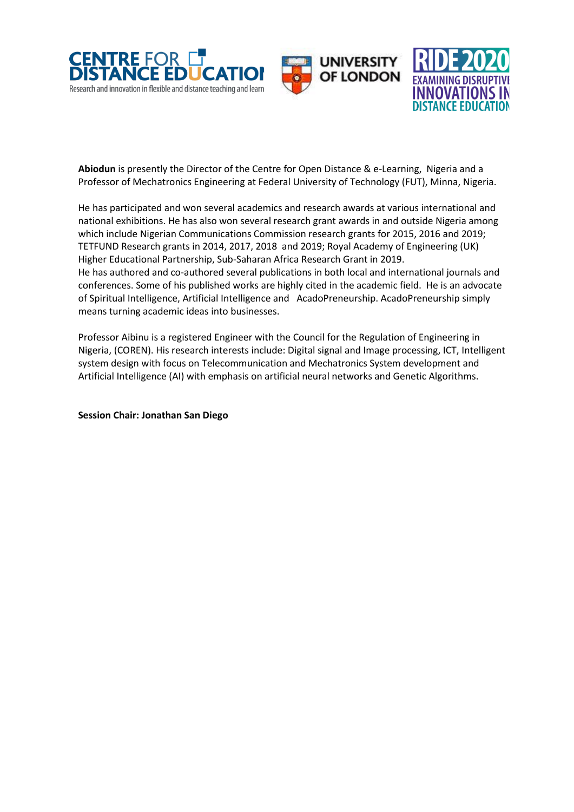





**Abiodun** is presently the Director of the Centre for Open Distance & e-Learning, Nigeria and a Professor of Mechatronics Engineering at Federal University of Technology (FUT), Minna, Nigeria.

He has participated and won several academics and research awards at various international and national exhibitions. He has also won several research grant awards in and outside Nigeria among which include Nigerian Communications Commission research grants for 2015, 2016 and 2019; TETFUND Research grants in 2014, 2017, 2018 and 2019; Royal Academy of Engineering (UK) Higher Educational Partnership, Sub-Saharan Africa Research Grant in 2019. He has authored and co-authored several publications in both local and international journals and conferences. Some of his published works are highly cited in the academic field. He is an advocate of Spiritual Intelligence, Artificial Intelligence and AcadoPreneurship. AcadoPreneurship simply

Professor Aibinu is a registered Engineer with the Council for the Regulation of Engineering in Nigeria, (COREN). His research interests include: Digital signal and Image processing, ICT, Intelligent system design with focus on Telecommunication and Mechatronics System development and Artificial Intelligence (AI) with emphasis on artificial neural networks and Genetic Algorithms.

**Session Chair: Jonathan San Diego**

means turning academic ideas into businesses.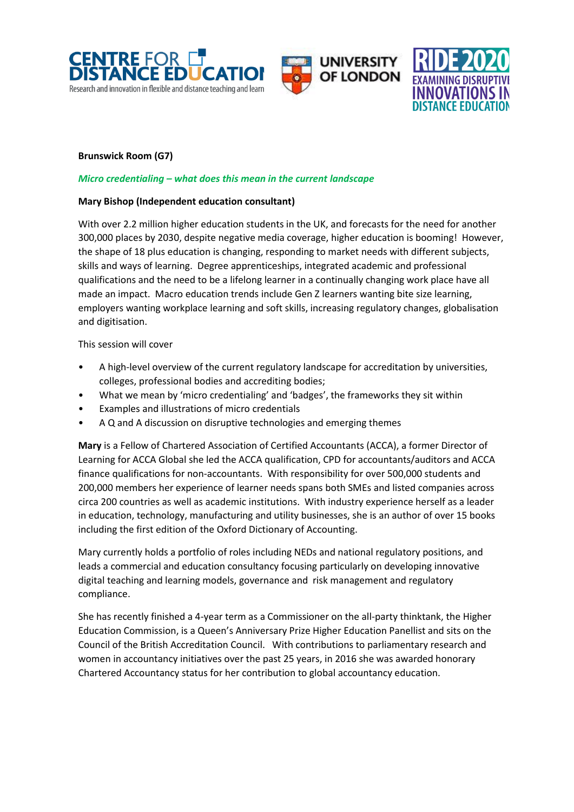





# **Brunswick Room (G7)**

#### *Micro credentialing – what does this mean in the current landscape*

#### **Mary Bishop (Independent education consultant)**

With over 2.2 million higher education students in the UK, and forecasts for the need for another 300,000 places by 2030, despite negative media coverage, higher education is booming! However, the shape of 18 plus education is changing, responding to market needs with different subjects, skills and ways of learning. Degree apprenticeships, integrated academic and professional qualifications and the need to be a lifelong learner in a continually changing work place have all made an impact. Macro education trends include Gen Z learners wanting bite size learning, employers wanting workplace learning and soft skills, increasing regulatory changes, globalisation and digitisation.

This session will cover

- A high-level overview of the current regulatory landscape for accreditation by universities, colleges, professional bodies and accrediting bodies;
- What we mean by 'micro credentialing' and 'badges', the frameworks they sit within
- Examples and illustrations of micro credentials
- A Q and A discussion on disruptive technologies and emerging themes

**Mary** is a Fellow of Chartered Association of Certified Accountants (ACCA), a former Director of Learning for ACCA Global she led the ACCA qualification, CPD for accountants/auditors and ACCA finance qualifications for non-accountants. With responsibility for over 500,000 students and 200,000 members her experience of learner needs spans both SMEs and listed companies across circa 200 countries as well as academic institutions. With industry experience herself as a leader in education, technology, manufacturing and utility businesses, she is an author of over 15 books including the first edition of the Oxford Dictionary of Accounting.

Mary currently holds a portfolio of roles including NEDs and national regulatory positions, and leads a commercial and education consultancy focusing particularly on developing innovative digital teaching and learning models, governance and risk management and regulatory compliance.

She has recently finished a 4-year term as a Commissioner on the all-party thinktank, the Higher Education Commission, is a Queen's Anniversary Prize Higher Education Panellist and sits on the Council of the British Accreditation Council. With contributions to parliamentary research and women in accountancy initiatives over the past 25 years, in 2016 she was awarded honorary Chartered Accountancy status for her contribution to global accountancy education.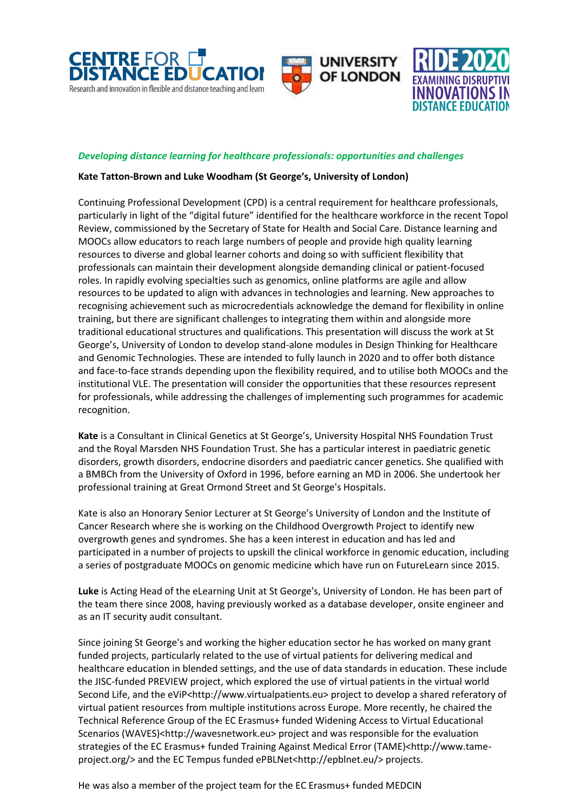





#### *Developing distance learning for healthcare professionals: opportunities and challenges*

#### **Kate Tatton-Brown and Luke Woodham (St George's, University of London)**

Continuing Professional Development (CPD) is a central requirement for healthcare professionals, particularly in light of the "digital future" identified for the healthcare workforce in the recent Topol Review, commissioned by the Secretary of State for Health and Social Care. Distance learning and MOOCs allow educators to reach large numbers of people and provide high quality learning resources to diverse and global learner cohorts and doing so with sufficient flexibility that professionals can maintain their development alongside demanding clinical or patient-focused roles. In rapidly evolving specialties such as genomics, online platforms are agile and allow resources to be updated to align with advances in technologies and learning. New approaches to recognising achievement such as microcredentials acknowledge the demand for flexibility in online training, but there are significant challenges to integrating them within and alongside more traditional educational structures and qualifications. This presentation will discuss the work at St George's, University of London to develop stand-alone modules in Design Thinking for Healthcare and Genomic Technologies. These are intended to fully launch in 2020 and to offer both distance and face-to-face strands depending upon the flexibility required, and to utilise both MOOCs and the institutional VLE. The presentation will consider the opportunities that these resources represent for professionals, while addressing the challenges of implementing such programmes for academic recognition.

**Kate** is a Consultant in Clinical Genetics at St George's, University Hospital NHS Foundation Trust and the Royal Marsden NHS Foundation Trust. She has a particular interest in paediatric genetic disorders, growth disorders, endocrine disorders and paediatric cancer genetics. She qualified with a BMBCh from the University of Oxford in 1996, before earning an MD in 2006. She undertook her professional training at Great Ormond Street and St George's Hospitals.

Kate is also an Honorary Senior Lecturer at St George's University of London and the Institute of Cancer Research where she is working on the Childhood Overgrowth Project to identify new overgrowth genes and syndromes. She has a keen interest in education and has led and participated in a number of projects to upskill the clinical workforce in genomic education, including a series of postgraduate MOOCs on genomic medicine which have run on FutureLearn since 2015.

**Luke** is Acting Head of the eLearning Unit at St George's, University of London. He has been part of the team there since 2008, having previously worked as a database developer, onsite engineer and as an IT security audit consultant.

Since joining St George's and working the higher education sector he has worked on many grant funded projects, particularly related to the use of virtual patients for delivering medical and healthcare education in blended settings, and the use of data standards in education. These include the JISC-funded PREVIEW project, which explored the use of virtual patients in the virtual world Second Life, and the eViP<http://www.virtualpatients.eu> project to develop a shared referatory of virtual patient resources from multiple institutions across Europe. More recently, he chaired the Technical Reference Group of the EC Erasmus+ funded Widening Access to Virtual Educational Scenarios (WAVES)<http://wavesnetwork.eu> project and was responsible for the evaluation strategies of the EC Erasmus+ funded Training Against Medical Error (TAME)<http://www.tameproject.org/> and the EC Tempus funded ePBLNet<http://epblnet.eu/> projects.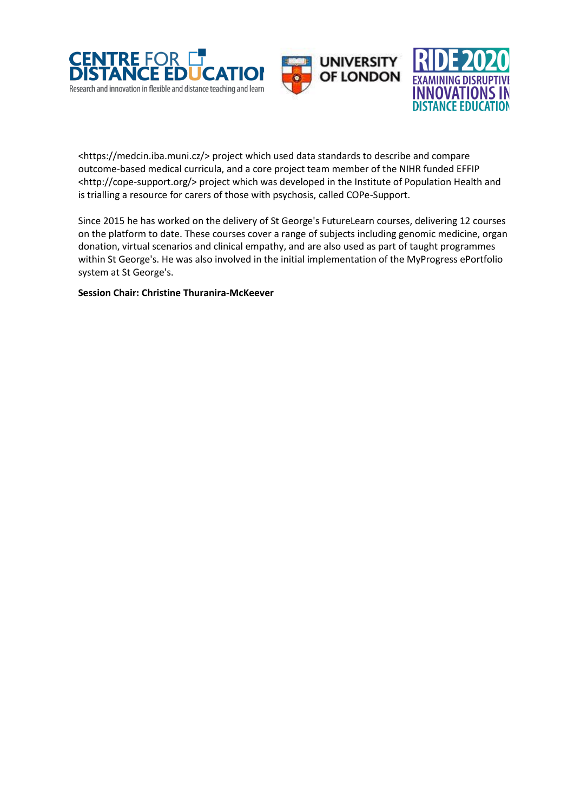





<https://medcin.iba.muni.cz/> project which used data standards to describe and compare outcome-based medical curricula, and a core project team member of the NIHR funded EFFIP <http://cope-support.org/> project which was developed in the Institute of Population Health and is trialling a resource for carers of those with psychosis, called COPe-Support.

Since 2015 he has worked on the delivery of St George's FutureLearn courses, delivering 12 courses on the platform to date. These courses cover a range of subjects including genomic medicine, organ donation, virtual scenarios and clinical empathy, and are also used as part of taught programmes within St George's. He was also involved in the initial implementation of the MyProgress ePortfolio system at St George's.

**Session Chair: Christine Thuranira-McKeever**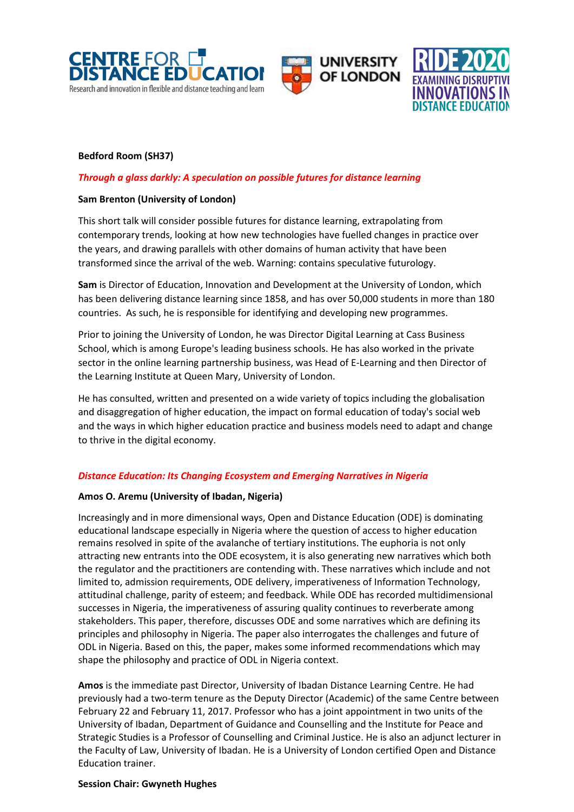





# **Bedford Room (SH37)**

# *Through a glass darkly: A speculation on possible futures for distance learning*

#### **Sam Brenton (University of London)**

This short talk will consider possible futures for distance learning, extrapolating from contemporary trends, looking at how new technologies have fuelled changes in practice over the years, and drawing parallels with other domains of human activity that have been transformed since the arrival of the web. Warning: contains speculative futurology.

**Sam** is Director of Education, Innovation and Development at the University of London, which has been delivering distance learning since 1858, and has over 50,000 students in more than 180 countries. As such, he is responsible for identifying and developing new programmes.

Prior to joining the University of London, he was Director Digital Learning at Cass Business School, which is among Europe's leading business schools. He has also worked in the private sector in the online learning partnership business, was Head of E-Learning and then Director of the Learning Institute at Queen Mary, University of London.

He has consulted, written and presented on a wide variety of topics including the globalisation and disaggregation of higher education, the impact on formal education of today's social web and the ways in which higher education practice and business models need to adapt and change to thrive in the digital economy.

# *Distance Education: Its Changing Ecosystem and Emerging Narratives in Nigeria*

# **Amos O. Aremu (University of Ibadan, Nigeria)**

Increasingly and in more dimensional ways, Open and Distance Education (ODE) is dominating educational landscape especially in Nigeria where the question of access to higher education remains resolved in spite of the avalanche of tertiary institutions. The euphoria is not only attracting new entrants into the ODE ecosystem, it is also generating new narratives which both the regulator and the practitioners are contending with. These narratives which include and not limited to, admission requirements, ODE delivery, imperativeness of Information Technology, attitudinal challenge, parity of esteem; and feedback. While ODE has recorded multidimensional successes in Nigeria, the imperativeness of assuring quality continues to reverberate among stakeholders. This paper, therefore, discusses ODE and some narratives which are defining its principles and philosophy in Nigeria. The paper also interrogates the challenges and future of ODL in Nigeria. Based on this, the paper, makes some informed recommendations which may shape the philosophy and practice of ODL in Nigeria context.

**Amos** is the immediate past Director, University of Ibadan Distance Learning Centre. He had previously had a two-term tenure as the Deputy Director (Academic) of the same Centre between February 22 and February 11, 2017. Professor who has a joint appointment in two units of the University of Ibadan, Department of Guidance and Counselling and the Institute for Peace and Strategic Studies is a Professor of Counselling and Criminal Justice. He is also an adjunct lecturer in the Faculty of Law, University of Ibadan. He is a University of London certified Open and Distance Education trainer.

#### **Session Chair: Gwyneth Hughes**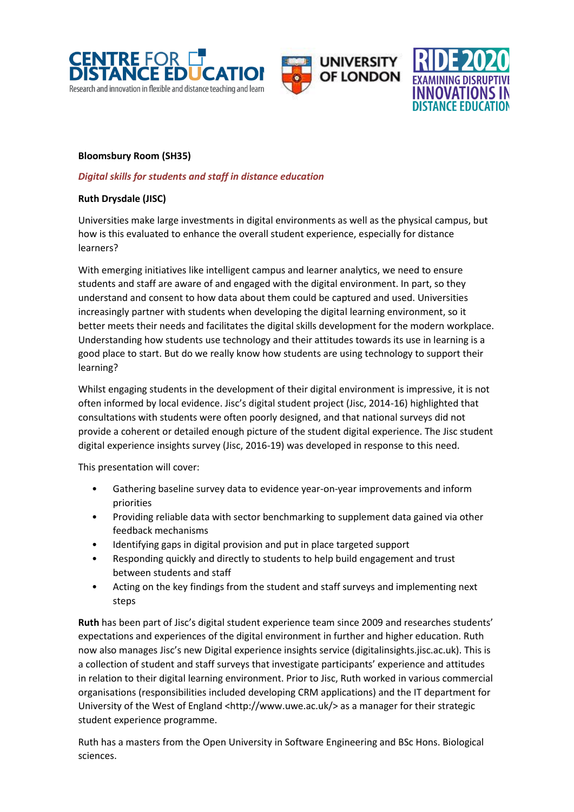





# **Bloomsbury Room (SH35)**

# *Digital skills for students and staff in distance education*

# **Ruth Drysdale (JISC)**

Universities make large investments in digital environments as well as the physical campus, but how is this evaluated to enhance the overall student experience, especially for distance learners?

With emerging initiatives like intelligent campus and learner analytics, we need to ensure students and staff are aware of and engaged with the digital environment. In part, so they understand and consent to how data about them could be captured and used. Universities increasingly partner with students when developing the digital learning environment, so it better meets their needs and facilitates the digital skills development for the modern workplace. Understanding how students use technology and their attitudes towards its use in learning is a good place to start. But do we really know how students are using technology to support their learning?

Whilst engaging students in the development of their digital environment is impressive, it is not often informed by local evidence. Jisc's digital student project (Jisc, 2014-16) highlighted that consultations with students were often poorly designed, and that national surveys did not provide a coherent or detailed enough picture of the student digital experience. The Jisc student digital experience insights survey (Jisc, 2016-19) was developed in response to this need.

This presentation will cover:

- Gathering baseline survey data to evidence year-on-year improvements and inform priorities
- Providing reliable data with sector benchmarking to supplement data gained via other feedback mechanisms
- Identifying gaps in digital provision and put in place targeted support
- Responding quickly and directly to students to help build engagement and trust between students and staff
- Acting on the key findings from the student and staff surveys and implementing next steps

**Ruth** has been part of Jisc's digital student experience team since 2009 and researches students' expectations and experiences of the digital environment in further and higher education. Ruth now also manages Jisc's new Digital experience insights service (digitalinsights.jisc.ac.uk). This is a collection of student and staff surveys that investigate participants' experience and attitudes in relation to their digital learning environment. Prior to Jisc, Ruth worked in various commercial organisations (responsibilities included developing CRM applications) and the IT department for University of the West of England <http://www.uwe.ac.uk/> as a manager for their strategic student experience programme.

Ruth has a masters from the Open University in Software Engineering and BSc Hons. Biological sciences.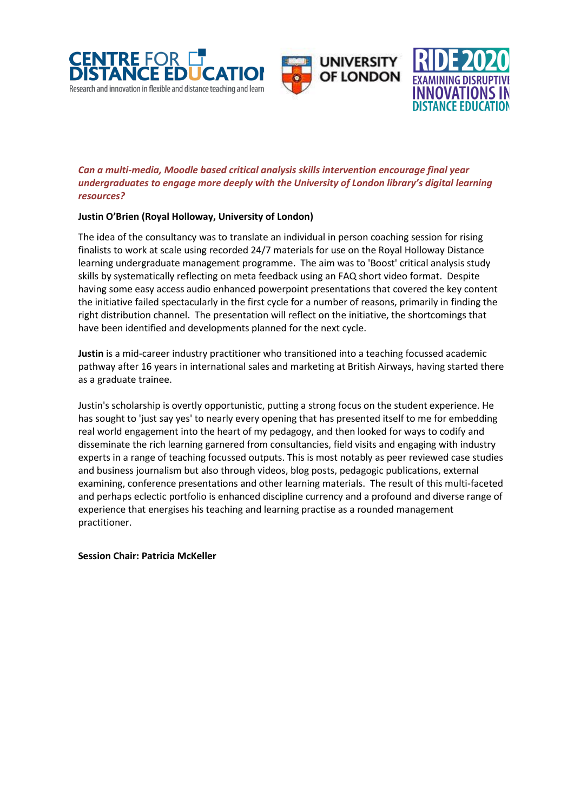





# *Can a multi-media, Moodle based critical analysis skills intervention encourage final year undergraduates to engage more deeply with the University of London library's digital learning resources?*

# **Justin O'Brien (Royal Holloway, University of London)**

The idea of the consultancy was to translate an individual in person coaching session for rising finalists to work at scale using recorded 24/7 materials for use on the Royal Holloway Distance learning undergraduate management programme. The aim was to 'Boost' critical analysis study skills by systematically reflecting on meta feedback using an FAQ short video format. Despite having some easy access audio enhanced powerpoint presentations that covered the key content the initiative failed spectacularly in the first cycle for a number of reasons, primarily in finding the right distribution channel. The presentation will reflect on the initiative, the shortcomings that have been identified and developments planned for the next cycle.

**Justin** is a mid-career industry practitioner who transitioned into a teaching focussed academic pathway after 16 years in international sales and marketing at British Airways, having started there as a graduate trainee.

Justin's scholarship is overtly opportunistic, putting a strong focus on the student experience. He has sought to 'just say yes' to nearly every opening that has presented itself to me for embedding real world engagement into the heart of my pedagogy, and then looked for ways to codify and disseminate the rich learning garnered from consultancies, field visits and engaging with industry experts in a range of teaching focussed outputs. This is most notably as peer reviewed case studies and business journalism but also through videos, blog posts, pedagogic publications, external examining, conference presentations and other learning materials. The result of this multi-faceted and perhaps eclectic portfolio is enhanced discipline currency and a profound and diverse range of experience that energises his teaching and learning practise as a rounded management practitioner.

**Session Chair: Patricia McKeller**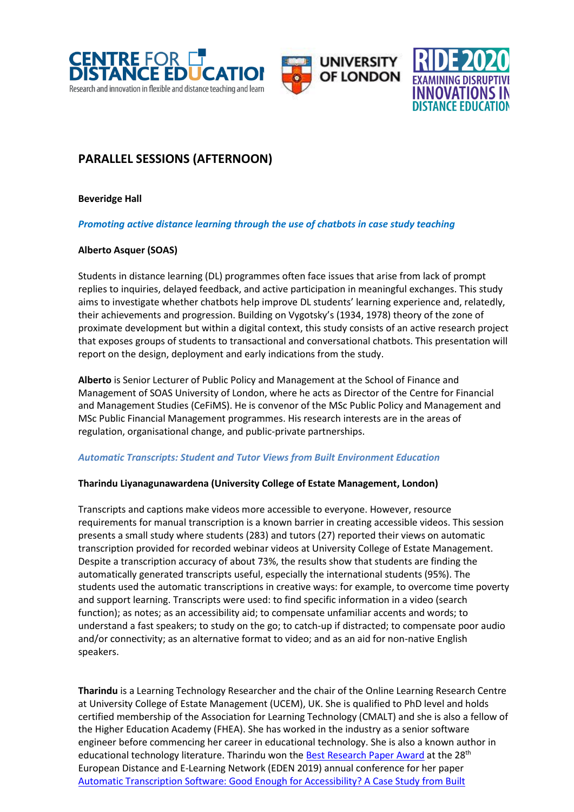





# **PARALLEL SESSIONS (AFTERNOON)**

**Beveridge Hall**

#### *Promoting active distance learning through the use of chatbots in case study teaching*

# **Alberto Asquer (SOAS)**

Students in distance learning (DL) programmes often face issues that arise from lack of prompt replies to inquiries, delayed feedback, and active participation in meaningful exchanges. This study aims to investigate whether chatbots help improve DL students' learning experience and, relatedly, their achievements and progression. Building on Vygotsky's (1934, 1978) theory of the zone of proximate development but within a digital context, this study consists of an active research project that exposes groups of students to transactional and conversational chatbots. This presentation will report on the design, deployment and early indications from the study.

**Alberto** is Senior Lecturer of Public Policy and Management at the School of Finance and Management of SOAS University of London, where he acts as Director of the Centre for Financial and Management Studies (CeFiMS). He is convenor of the MSc Public Policy and Management and MSc Public Financial Management programmes. His research interests are in the areas of regulation, organisational change, and public-private partnerships.

#### *Automatic Transcripts: Student and Tutor Views from Built Environment Education*

# **Tharindu Liyanagunawardena (University College of Estate Management, London)**

Transcripts and captions make videos more accessible to everyone. However, resource requirements for manual transcription is a known barrier in creating accessible videos. This session presents a small study where students (283) and tutors (27) reported their views on automatic transcription provided for recorded webinar videos at University College of Estate Management. Despite a transcription accuracy of about 73%, the results show that students are finding the automatically generated transcripts useful, especially the international students (95%). The students used the automatic transcriptions in creative ways: for example, to overcome time poverty and support learning. Transcripts were used: to find specific information in a video (search function); as notes; as an accessibility aid; to compensate unfamiliar accents and words; to understand a fast speakers; to study on the go; to catch-up if distracted; to compensate poor audio and/or connectivity; as an alternative format to video; and as an aid for non-native English speakers.

**Tharindu** is a Learning Technology Researcher and the chair of the Online Learning Research Centre at University College of Estate Management (UCEM), UK. She is qualified to PhD level and holds certified membership of the Association for Learning Technology (CMALT) and she is also a fellow of the Higher Education Academy (FHEA). She has worked in the industry as a senior software engineer before commencing her career in educational technology. She is also a known author in educational technology literature. Tharindu won th[e Best Research Paper Award](http://www.eden-online.org/2019-eden-annual-conference-awards-and-recognition/) at the 28<sup>th</sup> European Distance and E-Learning Network (EDEN 2019) annual conference for her paper [Automatic Transcription Software: Good Enough for Accessibility? A Case Study from Built](https://www.ucem.ac.uk/wp-content/uploads/2019/08/Automatic-Transcription-Software-Good-Enough-for-Accessibility-Case-study-from-Built-Environment-Education-EDEN2019.pdf)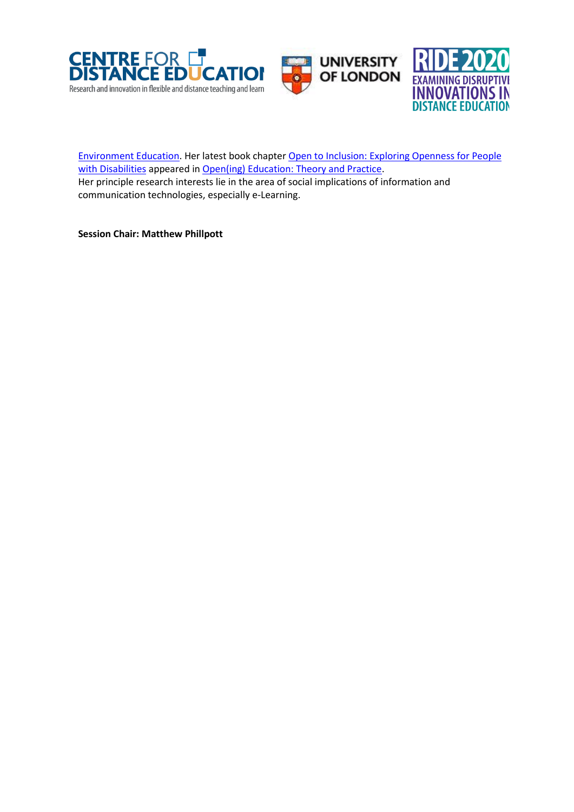





[Environment Education.](https://www.ucem.ac.uk/wp-content/uploads/2019/08/Automatic-Transcription-Software-Good-Enough-for-Accessibility-Case-study-from-Built-Environment-Education-EDEN2019.pdf) Her latest book chapter [Open to Inclusion: Exploring Openness for People](https://brill.com/view/book/edcoll/9789004422988/BP000017.xml)  [with Disabilities](https://brill.com/view/book/edcoll/9789004422988/BP000017.xml) appeared in [Open\(ing\) Education: Theory and Practice.](https://brill.com/view/title/56897) Her principle research interests lie in the area of social implications of information and communication technologies, especially e-Learning.

**Session Chair: Matthew Phillpott**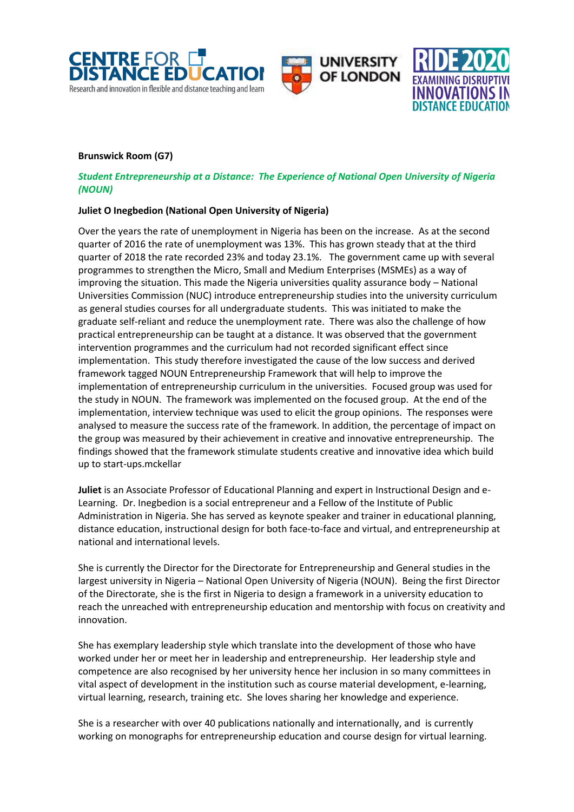





#### **Brunswick Room (G7)**

#### *Student Entrepreneurship at a Distance: The Experience of National Open University of Nigeria (NOUN)*

#### **Juliet O Inegbedion (National Open University of Nigeria)**

Over the years the rate of unemployment in Nigeria has been on the increase. As at the second quarter of 2016 the rate of unemployment was 13%. This has grown steady that at the third quarter of 2018 the rate recorded 23% and today 23.1%. The government came up with several programmes to strengthen the Micro, Small and Medium Enterprises (MSMEs) as a way of improving the situation. This made the Nigeria universities quality assurance body – National Universities Commission (NUC) introduce entrepreneurship studies into the university curriculum as general studies courses for all undergraduate students. This was initiated to make the graduate self-reliant and reduce the unemployment rate. There was also the challenge of how practical entrepreneurship can be taught at a distance. It was observed that the government intervention programmes and the curriculum had not recorded significant effect since implementation. This study therefore investigated the cause of the low success and derived framework tagged NOUN Entrepreneurship Framework that will help to improve the implementation of entrepreneurship curriculum in the universities. Focused group was used for the study in NOUN. The framework was implemented on the focused group. At the end of the implementation, interview technique was used to elicit the group opinions. The responses were analysed to measure the success rate of the framework. In addition, the percentage of impact on the group was measured by their achievement in creative and innovative entrepreneurship. The findings showed that the framework stimulate students creative and innovative idea which build up to start-ups.mckellar

**Juliet** is an Associate Professor of Educational Planning and expert in Instructional Design and e-Learning. Dr. Inegbedion is a social entrepreneur and a Fellow of the Institute of Public Administration in Nigeria. She has served as keynote speaker and trainer in educational planning, distance education, instructional design for both face-to-face and virtual, and entrepreneurship at national and international levels.

She is currently the Director for the Directorate for Entrepreneurship and General studies in the largest university in Nigeria – National Open University of Nigeria (NOUN). Being the first Director of the Directorate, she is the first in Nigeria to design a framework in a university education to reach the unreached with entrepreneurship education and mentorship with focus on creativity and innovation.

She has exemplary leadership style which translate into the development of those who have worked under her or meet her in leadership and entrepreneurship. Her leadership style and competence are also recognised by her university hence her inclusion in so many committees in vital aspect of development in the institution such as course material development, e-learning, virtual learning, research, training etc. She loves sharing her knowledge and experience.

She is a researcher with over 40 publications nationally and internationally, and is currently working on monographs for entrepreneurship education and course design for virtual learning.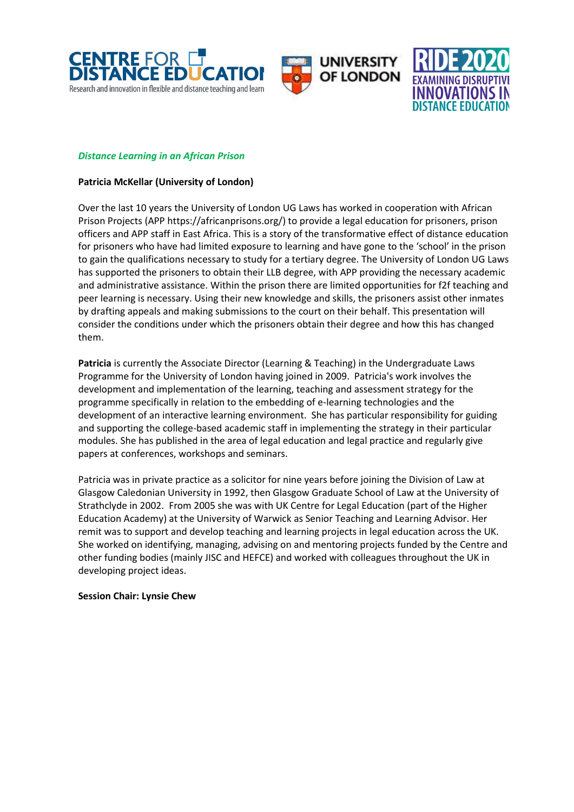





#### *Distance Learning in an African Prison*

#### **Patricia McKellar (University of London)**

Over the last 10 years the University of London UG Laws has worked in cooperation with African Prison Projects (APP https://africanprisons.org/) to provide a legal education for prisoners, prison officers and APP staff in East Africa. This is a story of the transformative effect of distance education for prisoners who have had limited exposure to learning and have gone to the 'school' in the prison to gain the qualifications necessary to study for a tertiary degree. The University of London UG Laws has supported the prisoners to obtain their LLB degree, with APP providing the necessary academic and administrative assistance. Within the prison there are limited opportunities for f2f teaching and peer learning is necessary. Using their new knowledge and skills, the prisoners assist other inmates by drafting appeals and making submissions to the court on their behalf. This presentation will consider the conditions under which the prisoners obtain their degree and how this has changed them.

**Patricia** is currently the Associate Director (Learning & Teaching) in the Undergraduate Laws Programme for the University of London having joined in 2009. Patricia's work involves the development and implementation of the learning, teaching and assessment strategy for the programme specifically in relation to the embedding of e-learning technologies and the development of an interactive learning environment. She has particular responsibility for guiding and supporting the college-based academic staff in implementing the strategy in their particular modules. She has published in the area of legal education and legal practice and regularly give papers at conferences, workshops and seminars.

Patricia was in private practice as a solicitor for nine years before joining the Division of Law at Glasgow Caledonian University in 1992, then Glasgow Graduate School of Law at the University of Strathclyde in 2002. From 2005 she was with UK Centre for Legal Education (part of the Higher Education Academy) at the University of Warwick as Senior Teaching and Learning Advisor. Her remit was to support and develop teaching and learning projects in legal education across the UK. She worked on identifying, managing, advising on and mentoring projects funded by the Centre and other funding bodies (mainly JISC and HEFCE) and worked with colleagues throughout the UK in developing project ideas.

#### **Session Chair: Lynsie Chew**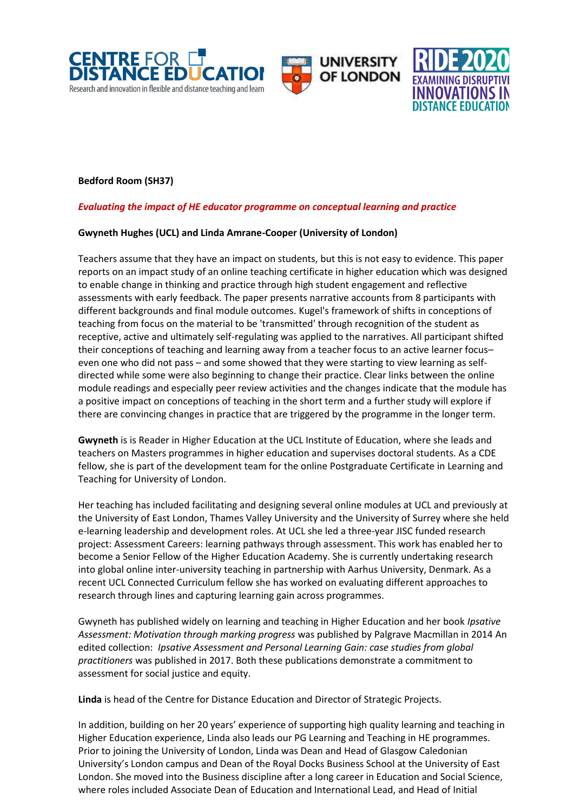





# **Bedford Room (SH37)**

# *Evaluating the impact of HE educator programme on conceptual learning and practice*

#### **Gwyneth Hughes (UCL) and Linda Amrane-Cooper (University of London)**

Teachers assume that they have an impact on students, but this is not easy to evidence. This paper reports on an impact study of an online teaching certificate in higher education which was designed to enable change in thinking and practice through high student engagement and reflective assessments with early feedback. The paper presents narrative accounts from 8 participants with different backgrounds and final module outcomes. Kugel's framework of shifts in conceptions of teaching from focus on the material to be 'transmitted' through recognition of the student as receptive, active and ultimately self-regulating was applied to the narratives. All participant shifted their conceptions of teaching and learning away from a teacher focus to an active learner focus– even one who did not pass – and some showed that they were starting to view learning as selfdirected while some were also beginning to change their practice. Clear links between the online module readings and especially peer review activities and the changes indicate that the module has a positive impact on conceptions of teaching in the short term and a further study will explore if there are convincing changes in practice that are triggered by the programme in the longer term.

**Gwyneth** is is Reader in Higher Education at the UCL Institute of Education, where she leads and teachers on Masters programmes in higher education and supervises doctoral students. As a CDE fellow, she is part of the development team for the online Postgraduate Certificate in Learning and Teaching for University of London.

Her teaching has included facilitating and designing several online modules at UCL and previously at the University of East London, Thames Valley University and the University of Surrey where she held e-learning leadership and development roles. At UCL she led a three-year JISC funded research project: Assessment Careers: learning pathways through assessment. This work has enabled her to become a Senior Fellow of the Higher Education Academy. She is currently undertaking research into global online inter-university teaching in partnership with Aarhus University, Denmark. As a recent UCL Connected Curriculum fellow she has worked on evaluating different approaches to research through lines and capturing learning gain across programmes.

Gwyneth has published widely on learning and teaching in Higher Education and her book *Ipsative Assessment: Motivation through marking progress* was published by Palgrave Macmillan in 2014 An edited collection: *Ipsative Assessment and Personal Learning Gain: case studies from global practitioners* was published in 2017. Both these publications demonstrate a commitment to assessment for social justice and equity.

**Linda** is head of the Centre for Distance Education and Director of Strategic Projects.

In addition, building on her 20 years' experience of supporting high quality learning and teaching in Higher Education experience, Linda also leads our PG Learning and Teaching in HE programmes. Prior to joining the University of London, Linda was Dean and Head of Glasgow Caledonian University's London campus and Dean of the Royal Docks Business School at the University of East London. She moved into the Business discipline after a long career in Education and Social Science, where roles included Associate Dean of Education and International Lead, and Head of Initial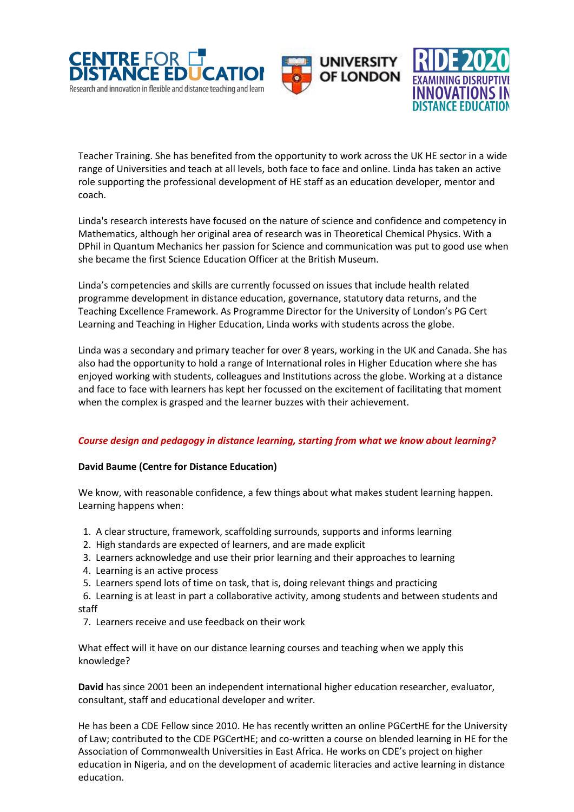





Teacher Training. She has benefited from the opportunity to work across the UK HE sector in a wide range of Universities and teach at all levels, both face to face and online. Linda has taken an active role supporting the professional development of HE staff as an education developer, mentor and coach.

Linda's research interests have focused on the nature of science and confidence and competency in Mathematics, although her original area of research was in Theoretical Chemical Physics. With a DPhil in Quantum Mechanics her passion for Science and communication was put to good use when she became the first Science Education Officer at the British Museum.

Linda's competencies and skills are currently focussed on issues that include health related programme development in distance education, governance, statutory data returns, and the Teaching Excellence Framework. As Programme Director for the University of London's PG Cert Learning and Teaching in Higher Education, Linda works with students across the globe.

Linda was a secondary and primary teacher for over 8 years, working in the UK and Canada. She has also had the opportunity to hold a range of International roles in Higher Education where she has enjoyed working with students, colleagues and Institutions across the globe. Working at a distance and face to face with learners has kept her focussed on the excitement of facilitating that moment when the complex is grasped and the learner buzzes with their achievement.

# *Course design and pedagogy in distance learning, starting from what we know about learning?*

#### **David Baume (Centre for Distance Education)**

We know, with reasonable confidence, a few things about what makes student learning happen. Learning happens when:

- 1. A clear structure, framework, scaffolding surrounds, supports and informs learning
- 2. High standards are expected of learners, and are made explicit
- 3. Learners acknowledge and use their prior learning and their approaches to learning
- 4. Learning is an active process
- 5. Learners spend lots of time on task, that is, doing relevant things and practicing

 6. Learning is at least in part a collaborative activity, among students and between students and staff

7. Learners receive and use feedback on their work

What effect will it have on our distance learning courses and teaching when we apply this knowledge?

**David** has since 2001 been an independent international higher education researcher, evaluator, consultant, staff and educational developer and writer.

He has been a CDE Fellow since 2010. He has recently written an online PGCertHE for the University of Law; contributed to the CDE PGCertHE; and co-written a course on blended learning in HE for the Association of Commonwealth Universities in East Africa. He works on CDE's project on higher education in Nigeria, and on the development of academic literacies and active learning in distance education.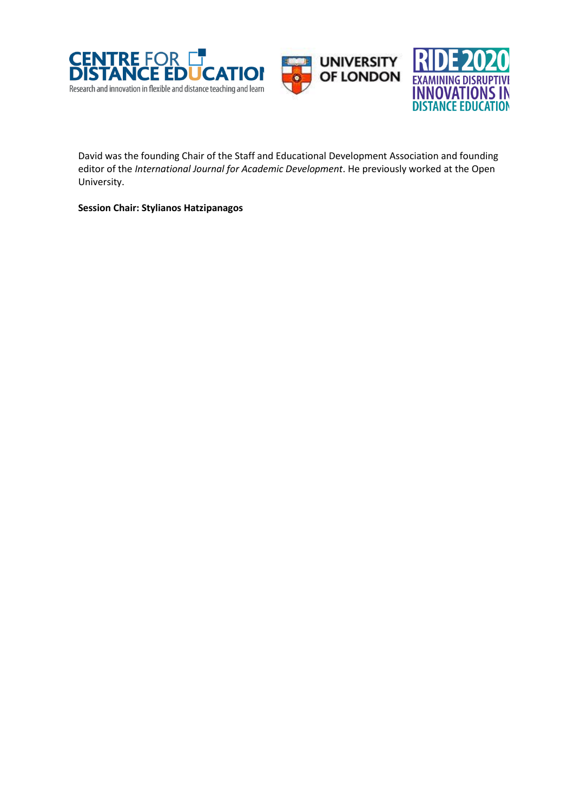





David was the founding Chair of the Staff and Educational Development Association and founding editor of the *International Journal for Academic Development*. He previously worked at the Open University.

**Session Chair: Stylianos Hatzipanagos**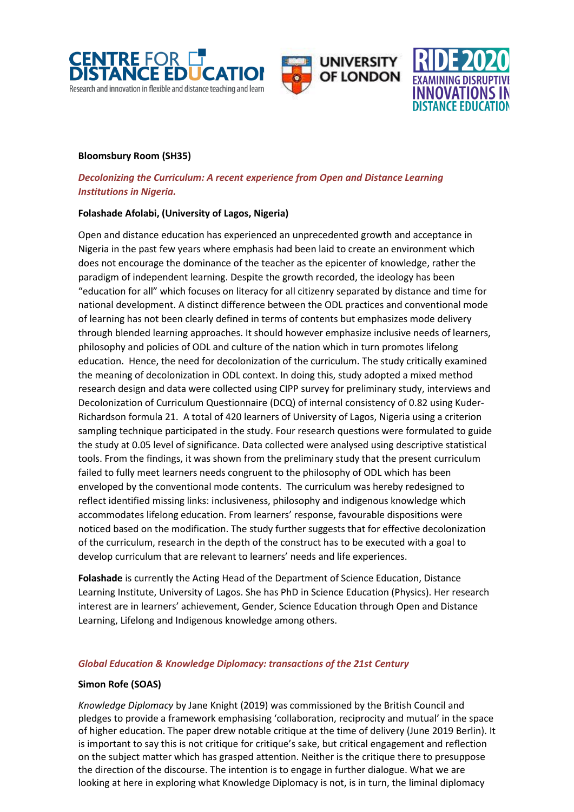





#### **Bloomsbury Room (SH35)**

# *Decolonizing the Curriculum: A recent experience from Open and Distance Learning Institutions in Nigeria.*

#### **Folashade Afolabi, (University of Lagos, Nigeria)**

Open and distance education has experienced an unprecedented growth and acceptance in Nigeria in the past few years where emphasis had been laid to create an environment which does not encourage the dominance of the teacher as the epicenter of knowledge, rather the paradigm of independent learning. Despite the growth recorded, the ideology has been "education for all" which focuses on literacy for all citizenry separated by distance and time for national development. A distinct difference between the ODL practices and conventional mode of learning has not been clearly defined in terms of contents but emphasizes mode delivery through blended learning approaches. It should however emphasize inclusive needs of learners, philosophy and policies of ODL and culture of the nation which in turn promotes lifelong education. Hence, the need for decolonization of the curriculum. The study critically examined the meaning of decolonization in ODL context. In doing this, study adopted a mixed method research design and data were collected using CIPP survey for preliminary study, interviews and Decolonization of Curriculum Questionnaire (DCQ) of internal consistency of 0.82 using Kuder-Richardson formula 21. A total of 420 learners of University of Lagos, Nigeria using a criterion sampling technique participated in the study. Four research questions were formulated to guide the study at 0.05 level of significance. Data collected were analysed using descriptive statistical tools. From the findings, it was shown from the preliminary study that the present curriculum failed to fully meet learners needs congruent to the philosophy of ODL which has been enveloped by the conventional mode contents. The curriculum was hereby redesigned to reflect identified missing links: inclusiveness, philosophy and indigenous knowledge which accommodates lifelong education. From learners' response, favourable dispositions were noticed based on the modification. The study further suggests that for effective decolonization of the curriculum, research in the depth of the construct has to be executed with a goal to develop curriculum that are relevant to learners' needs and life experiences.

**Folashade** is currently the Acting Head of the Department of Science Education, Distance Learning Institute, University of Lagos. She has PhD in Science Education (Physics). Her research interest are in learners' achievement, Gender, Science Education through Open and Distance Learning, Lifelong and Indigenous knowledge among others.

#### *Global Education & Knowledge Diplomacy: transactions of the 21st Century*

#### **Simon Rofe (SOAS)**

*Knowledge Diplomacy* by Jane Knight (2019) was commissioned by the British Council and pledges to provide a framework emphasising 'collaboration, reciprocity and mutual' in the space of higher education. The paper drew notable critique at the time of delivery (June 2019 Berlin). It is important to say this is not critique for critique's sake, but critical engagement and reflection on the subject matter which has grasped attention. Neither is the critique there to presuppose the direction of the discourse. The intention is to engage in further dialogue. What we are looking at here in exploring what Knowledge Diplomacy is not, is in turn, the liminal diplomacy